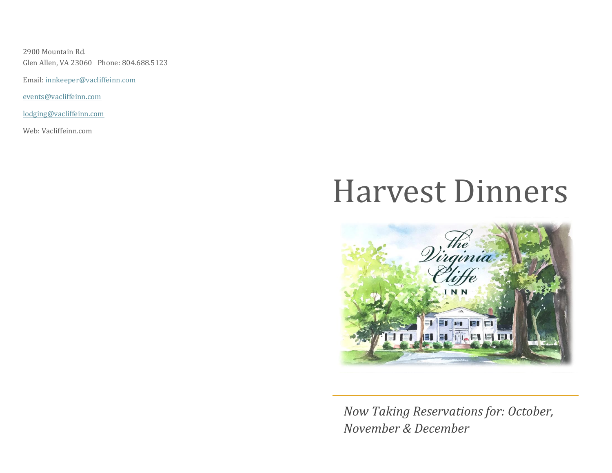2900 Mountain Rd. Glen Allen, VA 23060 Phone: 804.688.5123

Email: [innkeeper@vacliffeinn.com](mailto:innkeeper@vacliffeinn.com)

[events@vacliffeinn.com](mailto:events@vacliffeinn.com)

[lodging@vacliffeinn.com](mailto:lodging@vacliffeinn.com)

Web: Vacliffeinn.com

# Harvest Dinners



*Now Taking Reservations for: October, November & December*